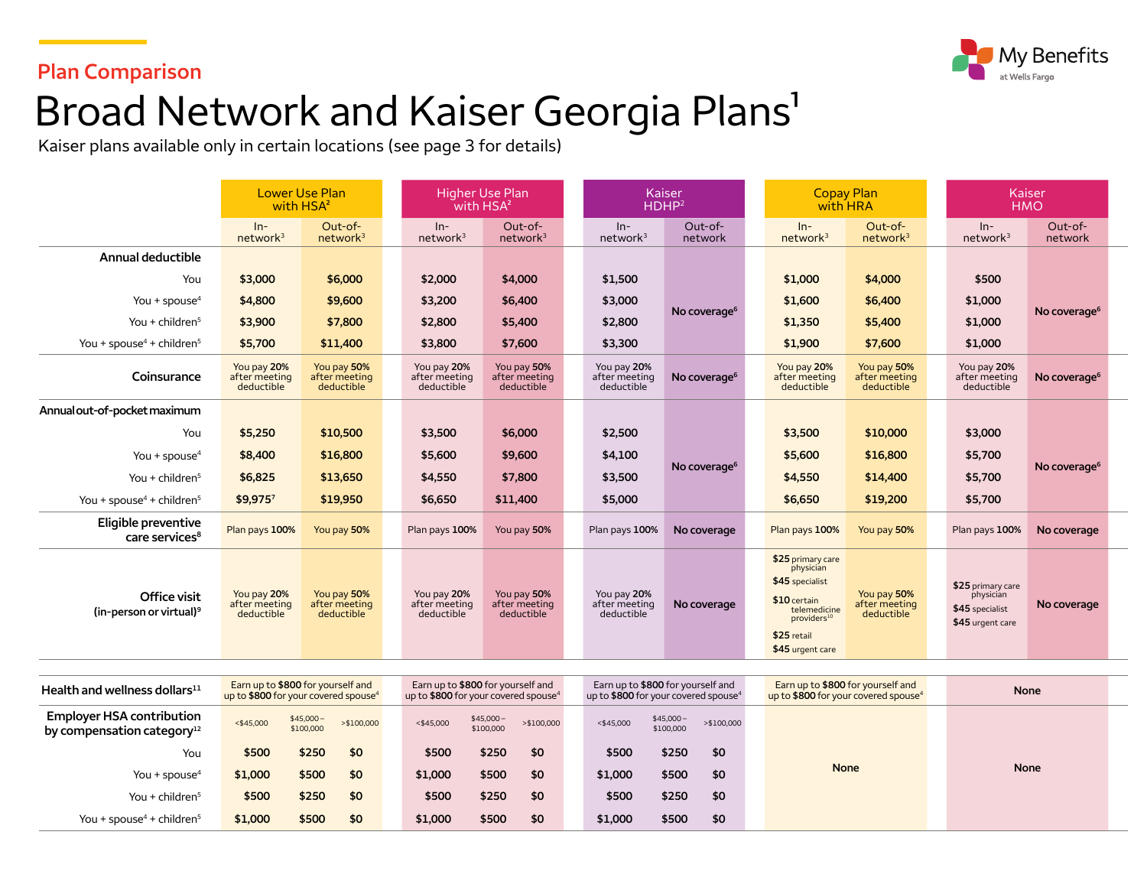

### **Plan Comparison**

# Broad Network and Kaiser Georgia Plans<sup>1</sup>

Kaiser plans available only in certain locations (see page 3 for details)

|                                                   | <b>Lower Use Plan</b><br>with HSA <sup>2</sup> |                                                                                       | <b>Higher Use Plan</b><br>with HSA <sup>2</sup> |                                                                                       | <b>Kaiser</b><br>HDHP <sup>2</sup>                                                    |                          |  | <b>Copay Plan</b><br>with HRA                                                                                                                   |                                            |  | Kaiser<br><b>HMO</b>                                                  |                          |  |
|---------------------------------------------------|------------------------------------------------|---------------------------------------------------------------------------------------|-------------------------------------------------|---------------------------------------------------------------------------------------|---------------------------------------------------------------------------------------|--------------------------|--|-------------------------------------------------------------------------------------------------------------------------------------------------|--------------------------------------------|--|-----------------------------------------------------------------------|--------------------------|--|
|                                                   | $ln-$<br>network <sup>3</sup>                  | Out-of-<br>network <sup>3</sup>                                                       | $ln-$<br>network <sup>3</sup>                   | Out-of-<br>network <sup>3</sup>                                                       | $In-$<br>network <sup>3</sup>                                                         | Out-of-<br>network       |  | $In-$<br>network <sup>3</sup>                                                                                                                   | Out-of-<br>network <sup>3</sup>            |  | $In-$<br>network <sup>3</sup>                                         | Out-of-<br>network       |  |
| Annual deductible                                 |                                                |                                                                                       |                                                 |                                                                                       |                                                                                       |                          |  |                                                                                                                                                 |                                            |  |                                                                       |                          |  |
| You                                               | \$3,000                                        | \$6,000                                                                               | \$2,000                                         | \$4,000                                                                               | \$1,500                                                                               | No coverage <sup>6</sup> |  | \$1,000                                                                                                                                         | \$4,000                                    |  | \$500                                                                 |                          |  |
| You + spouse $4$                                  | \$4,800                                        | \$9,600                                                                               | \$3,200                                         | \$6,400                                                                               | \$3,000                                                                               |                          |  | \$1,600                                                                                                                                         | \$6,400                                    |  | \$1,000                                                               | No coverage <sup>6</sup> |  |
| You + children $5$                                | \$3,900                                        | \$7,800                                                                               | \$2,800                                         | \$5,400                                                                               | \$2,800                                                                               |                          |  | \$1,350                                                                                                                                         | \$5,400                                    |  | \$1,000                                                               |                          |  |
| You + spouse <sup>4</sup> + children <sup>5</sup> | \$5,700                                        | \$11,400                                                                              | \$3,800                                         | \$7,600                                                                               | \$3,300                                                                               |                          |  | \$1,900                                                                                                                                         | \$7,600                                    |  | \$1,000                                                               |                          |  |
| Coinsurance                                       | You pay 20%<br>after meeting<br>deductible     | You pay 50%<br>after meeting<br>deductible                                            | You pay 20%<br>after meeting<br>deductible      | You pay 50%<br>after meeting<br>deductible                                            | You pay 20%<br>after meeting<br>deductible                                            | No coverage <sup>6</sup> |  | You pay 20%<br>after meeting<br>deductible                                                                                                      | You pay 50%<br>after meeting<br>deductible |  | You pay 20%<br>after meeting<br>deductible                            | No coverage <sup>6</sup> |  |
| Annual out-of-pocket maximum                      |                                                |                                                                                       |                                                 |                                                                                       |                                                                                       |                          |  |                                                                                                                                                 |                                            |  |                                                                       |                          |  |
| You                                               | \$5,250                                        | \$10,500                                                                              | \$3,500                                         | \$6,000                                                                               | \$2,500                                                                               |                          |  | \$3,500                                                                                                                                         | \$10,000                                   |  | \$3,000                                                               |                          |  |
| You + spouse $4$                                  | \$8,400                                        | \$16,800                                                                              | \$5,600                                         | \$9,600                                                                               | \$4,100                                                                               |                          |  | \$5,600                                                                                                                                         | \$16,800                                   |  | \$5,700                                                               |                          |  |
| You + children $5$                                | \$6,825                                        | \$13,650                                                                              | \$4,550                                         | \$7,800                                                                               | \$3,500                                                                               | No coverage <sup>6</sup> |  | \$4,550                                                                                                                                         | \$14,400                                   |  | \$5,700                                                               | No coverage <sup>6</sup> |  |
| You + spouse <sup>4</sup> + children <sup>5</sup> | \$9,9757                                       | \$19,950                                                                              | \$6,650                                         | \$11,400                                                                              | \$5,000                                                                               |                          |  | \$6,650                                                                                                                                         | \$19,200                                   |  | \$5,700                                                               |                          |  |
| Eligible preventive<br>care services <sup>8</sup> | Plan pays 100%                                 | You pay 50%                                                                           | Plan pays 100%                                  | You pay 50%                                                                           | Plan pays 100%                                                                        | No coverage              |  | Plan pays 100%                                                                                                                                  | You pay 50%                                |  | Plan pays 100%                                                        | No coverage              |  |
| Office visit<br>$(in-person or virtual)9$         | You pay 20%<br>after meeting<br>deductible     | You pay 50%<br>after meeting<br>deductible                                            | You pay 20%<br>after meeting<br>deductible      | You pay 50%<br>after meeting<br>deductible                                            | You pay 20%<br>after meeting<br>deductible                                            | No coverage              |  | \$25 primary care<br>physician<br>\$45 specialist<br>\$10 certain<br>telemedicine<br>providers <sup>10</sup><br>\$25 retail<br>\$45 urgent care | You pay 50%<br>after meeting<br>deductible |  | \$25 primary care<br>physician<br>\$45 specialist<br>\$45 urgent care | No coverage              |  |
| Health and wellness dollars $^{11}$               |                                                | Earn up to \$800 for yourself and<br>up to \$800 for your covered spouse <sup>4</sup> |                                                 | Earn up to \$800 for yourself and<br>up to \$800 for your covered spouse <sup>4</sup> | Earn up to \$800 for yourself and<br>up to \$800 for your covered spouse <sup>4</sup> |                          |  | Earn up to \$800 for yourself and<br>up to \$800 for your covered spouse <sup>4</sup>                                                           |                                            |  | <b>None</b>                                                           |                          |  |

| Health and wellness dollars $11$                                  | Larn up to \$800 for yourself and<br>up to \$800 for your covered spouse <sup>4</sup> |                         |             | up to \$800 for your covered spouse <sup>4</sup> | Earn up to \$800 for yourself and |            | up to \$800 for your covered spouse <sup>4</sup> | Earn up to \$800 for yourself and |               | Larn up to \$800 for yourself and<br>up to \$800 for your covered spouse <sup>4</sup> | <b>None</b> |  |  |
|-------------------------------------------------------------------|---------------------------------------------------------------------------------------|-------------------------|-------------|--------------------------------------------------|-----------------------------------|------------|--------------------------------------------------|-----------------------------------|---------------|---------------------------------------------------------------------------------------|-------------|--|--|
| <b>Employer HSA contribution</b><br>by compensation category $12$ | $<$ \$45,000                                                                          | $$45,000-$<br>\$100,000 | > \$100,000 | $<$ \$45,000                                     | $$45,000-$<br>\$100,000           | >\$100,000 | $<$ \$45,000                                     | $$45,000-$<br>\$100,000           | $>$ \$100,000 |                                                                                       |             |  |  |
| You                                                               | \$500                                                                                 | \$250                   | \$0         | \$500                                            | \$250                             | \$0        | \$500                                            | \$250                             | \$0           |                                                                                       |             |  |  |
| You + spouse $4$                                                  | \$1,000                                                                               | \$500                   | \$0         | \$1,000                                          | \$500                             | \$0        | \$1,000                                          | \$500                             | \$0           | <b>None</b>                                                                           | <b>None</b> |  |  |
| You + children $5$                                                | \$500                                                                                 | \$250                   | \$0         | \$500                                            | \$250                             | \$0        | \$500                                            | \$250                             | \$0           |                                                                                       |             |  |  |
| You + spouse <sup>4</sup> + children <sup>5</sup>                 | \$1,000                                                                               | \$500                   | \$0         | \$1,000                                          | \$500                             | \$0        | \$1,000                                          | \$500                             | \$0           |                                                                                       |             |  |  |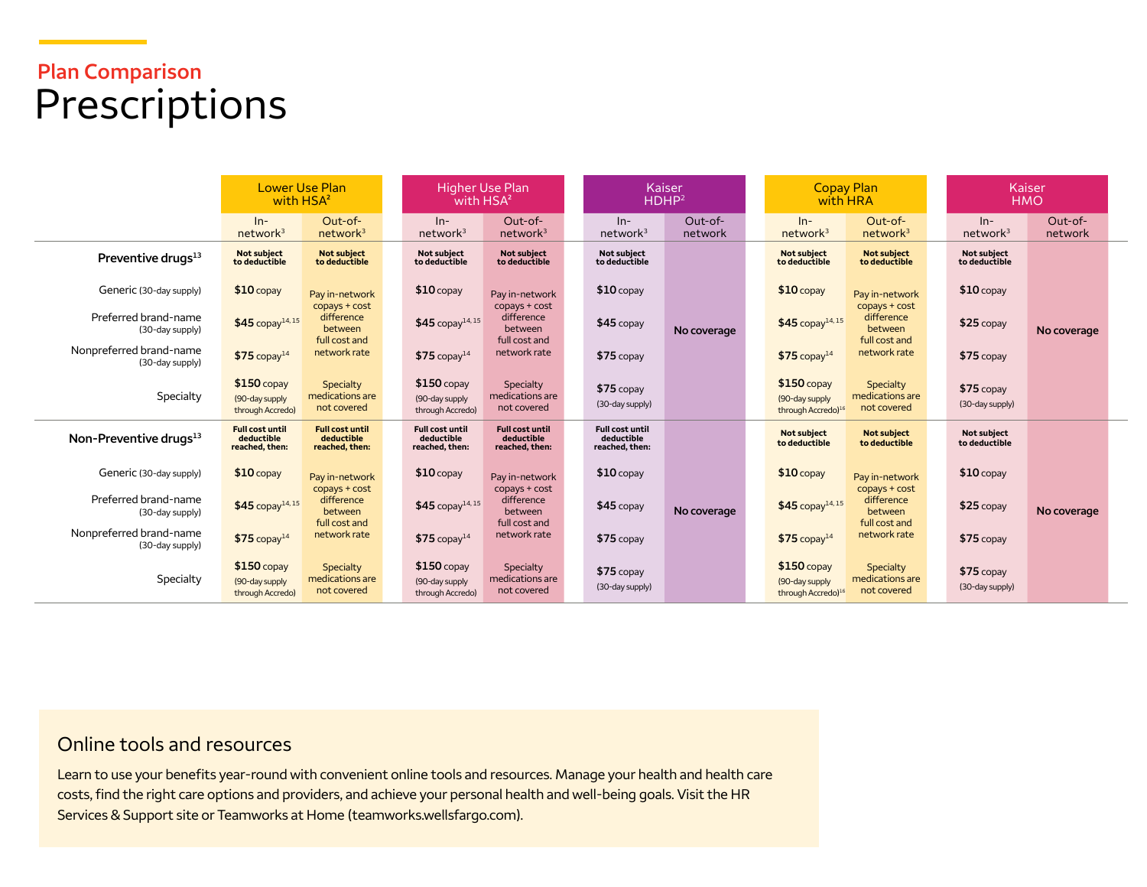## **Plan Comparison**  Prescriptions

|                                            | <b>Lower Use Plan</b><br>with HSA <sup>2</sup>         |                                                        | Higher Use Plan<br>with HSA <sup>2</sup>               |                                                        | Kaiser<br>HDHP <sup>2</sup>                            |                      | <b>Copay Plan</b><br>with HRA       |                                | Kaiser<br><b>HMO</b>                        |                                |                    |
|--------------------------------------------|--------------------------------------------------------|--------------------------------------------------------|--------------------------------------------------------|--------------------------------------------------------|--------------------------------------------------------|----------------------|-------------------------------------|--------------------------------|---------------------------------------------|--------------------------------|--------------------|
|                                            | $In-$<br>network <sup>3</sup>                          | Out-of-<br>network <sup>3</sup>                        | $ln-$<br>network <sup>3</sup>                          | Out-of-<br>network <sup>3</sup>                        | $In-$<br>network <sup>3</sup>                          | $Out-of-$<br>network | $In-$<br>network <sup>3</sup>       |                                | $Out-of-$<br>network <sup>3</sup>           | $ln-$<br>network <sup>3</sup>  | Out-of-<br>network |
| Preventive drugs <sup>13</sup>             | Not subject<br>to deductible                           | <b>Not subject</b><br>to deductible                    | <b>Not subiect</b><br>to deductible                    | Not subject<br>to deductible                           | Not subiect<br>to deductible                           |                      | <b>Not subject</b><br>to deductible |                                | <b>Not subject</b><br>to deductible         | Not subject<br>to deductible   |                    |
| Generic (30-day supply)                    | $$10$ copay                                            | Pay in-network                                         | $$10$ copay                                            | Pay in-network                                         | $$10$ copay                                            |                      | $$10$ copay                         |                                | Pay in-network                              | $$10$ copay                    |                    |
| Preferred brand-name<br>(30-day supply)    | $$45$ copay <sup>14,15</sup>                           | copays + cost<br>difference<br>between                 | $$45$ copay <sup>14,15</sup>                           | copays + cost<br>difference<br>between                 | $$45$ copay                                            | No coverage          |                                     | $$45$ copay <sup>14,15</sup>   | copays + cost<br>difference<br>between      | $$25$ copay                    | No coverage        |
| Nonpreferred brand-name<br>(30-day supply) | $$75$ copay <sup>14</sup>                              | full cost and<br>network rate                          | $$75$ copay <sup>14</sup>                              | full cost and<br>network rate                          | $$75$ copay                                            |                      | $$75$ copay <sup>14</sup>           |                                | full cost and<br>network rate               | \$75 copay                     |                    |
| Specialty                                  | $$150$ copay<br>(90-day supply<br>through Accredo)     | Specialty<br>medications are<br>not covered            | $$150$ copay<br>(90-day supply<br>through Accredo)     | Specialty<br>medications are<br>not covered            | $$75$ copay<br>(30-day supply)                         |                      | $$150$ copay<br>(90-day supply)     | through Accredo) <sup>16</sup> | Specialty<br>medications are<br>not covered | $$75$ copay<br>(30-day supply) |                    |
| Non-Preventive drugs <sup>13</sup>         | <b>Full cost until</b><br>deductible<br>reached, then: | <b>Full cost until</b><br>deductible<br>reached, then: | <b>Full cost until</b><br>deductible<br>reached, then: | <b>Full cost until</b><br>deductible<br>reached, then: | <b>Full cost until</b><br>deductible<br>reached, then: | No coverage          | <b>Not subject</b><br>to deductible |                                | <b>Not subject</b><br>to deductible         | Not subject<br>to deductible   |                    |
| Generic (30-day supply)                    | $$10$ copay                                            | Pay in-network                                         | $$10$ copay                                            | Pay in-network                                         | $$10$ copay                                            |                      | $$10$ copay                         |                                | Pay in-network                              | $$10$ copay                    |                    |
| Preferred brand-name<br>(30-day supply)    | $$45$ copay <sup>14,15</sup>                           | copays + cost<br>difference<br>between                 | $$45$ copay <sup>14, 15</sup>                          | copays + cost<br>difference<br>between                 | $$45$ copay                                            |                      |                                     | $$45$ copay <sup>14,15</sup>   | copays + cost<br>difference<br>between      | \$25 copay                     | No coverage        |
| Nonpreferred brand-name<br>(30-day supply) | $$75$ copay <sup>14</sup>                              | full cost and<br>network rate                          | $$75$ copay <sup>14</sup>                              | full cost and<br>network rate                          | $$75$ copay                                            |                      | $$75$ copay <sup>14</sup>           |                                | full cost and<br>network rate               | $$75$ copay                    |                    |
| Specialty                                  | $$150$ copay<br>(90-day supply<br>through Accredo)     | Specialty<br>medications are<br>not covered            | $$150$ copay<br>(90-day supply<br>through Accredo)     | Specialty<br>medications are<br>not covered            | $$75$ copay<br>(30-day supply)                         |                      | $$150$ copay<br>(90-day supply      | through Accredo) <sup>16</sup> | Specialty<br>medications are<br>not covered | $$75$ copay<br>(30-day supply) |                    |

#### Online tools and resources

Learn to use your benefits year-round with convenient online tools and resources. Manage your health and health care costs, find the right care options and providers, and achieve your personal health and well-being goals. Visit the HR Services & Support site or Teamworks at Home [\(teamworks.wellsfargo.com\)](http://teamworks.wellsfargo.com).